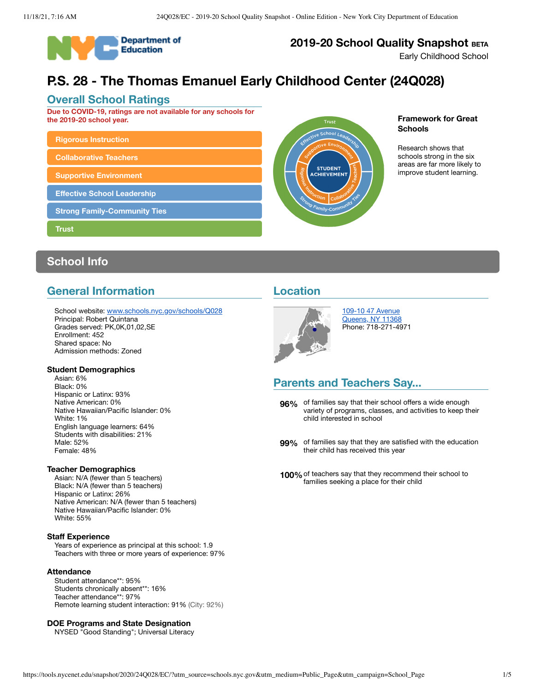

# **2019-20 School Quality Snapshot BETA**

Early Childhood School

# **P.S. 28 - The Thomas Emanuel Early Childhood Center (24Q028)**

### **Overall School Ratings**

**Due to COVID-19, ratings are not available for any schools for the 2019-20 school year.**

# **Rigorous [Instruction](#page-2-0)**

**[Collaborative](#page-2-1) Teachers**

```
Supportive Environment
```
**Effective School [Leadership](#page-3-1)**

**Strong [Family-Community](#page-4-0) Ties**

**[Trust](#page-4-1)**

# **School Info**

# **General Information**

School website: [www.schools.nyc.gov/schools/Q028](https://www.schools.nyc.gov/schools/Q028) Principal: Robert Quintana Grades served: PK,0K,01,02,SE Enrollment: 452 Shared space: No Admission methods: Zoned

### **Student Demographics**

Asian: 6% Black: 0% Hispanic or Latinx: 93% Native American: 0% Native Hawaiian/Pacific Islander: 0% White: 1% English language learners: 64% Students with disabilities: 21% Male: 52% Female: 48%

### **Teacher Demographics**

Asian: N/A (fewer than 5 teachers) Black: N/A (fewer than 5 teachers) Hispanic or Latinx: 26% Native American: N/A (fewer than 5 teachers) Native Hawaiian/Pacific Islander: 0% White: 55%

#### **Staff Experience**

Years of experience as principal at this school: 1.9 Teachers with three or more years of experience: 97%

#### **Attendance**

Student attendance\*\*: 95% Students chronically absent\*\*: 16% Teacher attendance\*\*: 97% Remote learning student interaction: 91% (City: 92%)

#### **DOE Programs and State Designation**

NYSED "Good Standing"; Universal Literacy



### **Framework for Great Schools**

Research shows that schools strong in the six areas are far more likely to improve student learning.

### **Location**



109-10 47 [Avenue](https://www.google.com/maps/place/109-10+47+Avenue,+Queens,+NY+11368) [Queens,](https://www.google.com/maps/place/109-10+47+Avenue,+Queens,+NY+11368) NY 11368 Phone: 718-271-4971

# **Parents and Teachers Say...**

**96%** of families say that their school offers a wide enough variety of programs, classes, and activities to keep their child interested in school

- **99%** of families say that they are satisfied with the education their child has received this year
- **100%**of teachers say that they recommend their school to families seeking a place for their child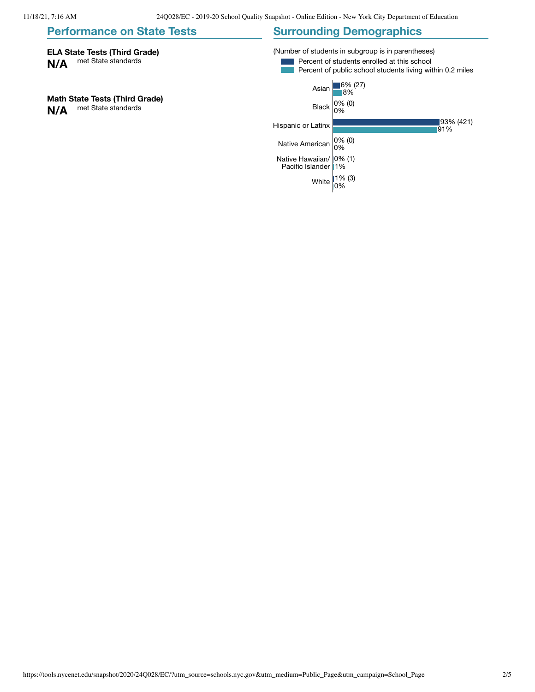#### **Performance on State Tests ELA State Tests (Third Grade) N/A** met State standards **Math State Tests (Third Grade) N/A** met State standards **Surrounding Demographics** (Number of students in subgroup is in parentheses) Percent of students enrolled at this school Percent of public school students living within 0.2 miles Asian  $6% (27)$ 8% Black 0% (0) 0% Hispanic or Latinx 93% (421) 91% Native American 0% (0) 0% Native Hawaiian/ 0% (1) Pacific Islander 1% White  $1\%$  (3) 0%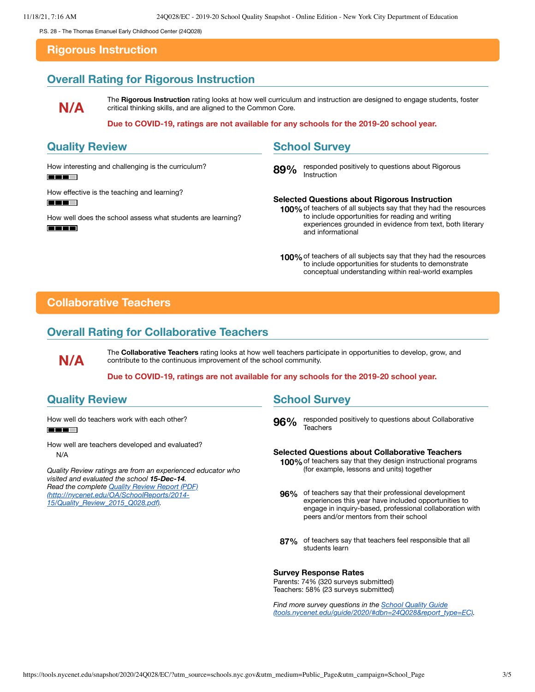<span id="page-2-0"></span>P.S. 28 - The Thomas Emanuel Early Childhood Center (24Q028)

### **Rigorous Instruction**

# **Overall Rating for Rigorous Instruction**

**N/A**

The **Rigorous Instruction** rating looks at how well curriculum and instruction are designed to engage students, foster critical thinking skills, and are aligned to the Common Core.

#### **Due to COVID-19, ratings are not available for any schools for the 2019-20 school year.**

# **Quality Review**

How interesting and challenging is the curriculum?

**FIELD T** 

How effective is the teaching and learning?

**FEE HE** 

How well does the school assess what students are learning? **FEE E** 

# **School Survey**

89% responded positively to questions about Rigorous Instruction

**Selected Questions about Rigorous Instruction 100%**of teachers of all subjects say that they had the resources to include opportunities for reading and writing experiences grounded in evidence from text, both literary and informational

# <span id="page-2-1"></span>**Collaborative Teachers**

# **Overall Rating for Collaborative Teachers**

**N/A**

The **Collaborative Teachers** rating looks at how well teachers participate in opportunities to develop, grow, and contribute to the continuous improvement of the school community.

**Due to COVID-19, ratings are not available for any schools for the 2019-20 school year.**

# **Quality Review**

How well do teachers work with each other? **FIELD** 

How well are teachers developed and evaluated? N/A

*Quality Review ratings are from an experienced educator who visited and evaluated the school 15-Dec-14. Read the complete Quality Review Report (PDF) [\(http://nycenet.edu/OA/SchoolReports/2014-](http://nycenet.edu/OA/SchoolReports/2014-15/Quality_Review_2015_Q028.pdf) 15/Quality\_Review\_2015\_Q028.pdf).*

# **School Survey**

**96%** responded positively to questions about Collaborative Teachers

#### **Selected Questions about Collaborative Teachers**

- **100%**of teachers say that they design instructional programs (for example, lessons and units) together
- **96%** of teachers say that their professional development experiences this year have included opportunities to engage in inquiry-based, professional collaboration with peers and/or mentors from their school
- **87%** of teachers say that teachers feel responsible that all students learn

#### **Survey Response Rates**

Parents: 74% (320 surveys submitted) Teachers: 58% (23 surveys submitted)

*Find more survey questions in the School Quality Guide [\(tools.nycenet.edu/guide/2020/#dbn=24Q028&report\\_type=EC\).](https://tools.nycenet.edu/guide/2020/#dbn=24Q028&report_type=EC)*

**<sup>100%</sup>**of teachers of all subjects say that they had the resources to include opportunities for students to demonstrate conceptual understanding within real-world examples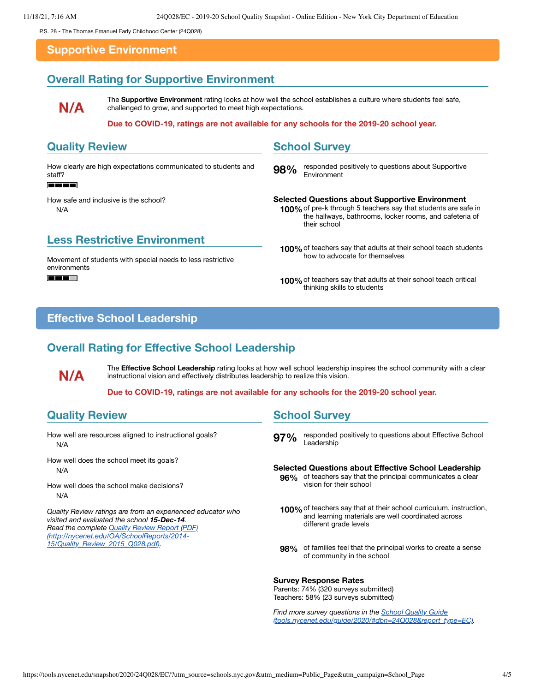<span id="page-3-0"></span>P.S. 28 - The Thomas Emanuel Early Childhood Center (24Q028)

### **Supportive Environment**

# **Overall Rating for Supportive Environment**

**N/A**

The **Supportive Environment** rating looks at how well the school establishes a culture where students feel safe, challenged to grow, and supported to meet high expectations.

#### **Due to COVID-19, ratings are not available for any schools for the 2019-20 school year.**

### **Quality Review**

How clearly are high expectations communicated to students and staff?

#### **FEET**

How safe and inclusive is the school? N/A

### **Less Restrictive Environment**

Movement of students with special needs to less restrictive environments

**FEE T** 

### **School Survey**

**98%** responded positively to questions about Supportive Environment

#### **Selected Questions about Supportive Environment 100%**of pre-k through 5 teachers say that students are safe in the hallways, bathrooms, locker rooms, and cafeteria of their school

- **100%**of teachers say that adults at their school teach students how to advocate for themselves
- **100%**of teachers say that adults at their school teach critical thinking skills to students

# <span id="page-3-1"></span>**Effective School Leadership**

# **Overall Rating for Effective School Leadership**

The **Effective School Leadership** rating looks at how well school leadership inspires the school community with a clear instructional vision and effectively distributes leadership to realize this vision.

**Due to COVID-19, ratings are not available for any schools for the 2019-20 school year.**

# **Quality Review**

**N/A**

How well are resources aligned to instructional goals? N/A

How well does the school meet its goals? N/A

How well does the school make decisions? N/A

*Quality Review ratings are from an experienced educator who visited and evaluated the school 15-Dec-14. Read the complete Quality Review Report (PDF) [\(http://nycenet.edu/OA/SchoolReports/2014-](http://nycenet.edu/OA/SchoolReports/2014-15/Quality_Review_2015_Q028.pdf) 15/Quality\_Review\_2015\_Q028.pdf).*

### **School Survey**

**97%** responded positively to questions about Effective School Leadership

#### **Selected Questions about Effective School Leadership**

- **96%** of teachers say that the principal communicates a clear vision for their school
- **100%**of teachers say that at their school curriculum, instruction, and learning materials are well coordinated across different grade levels
- **98%** of families feel that the principal works to create a sense of community in the school

#### **Survey Response Rates**

Parents: 74% (320 surveys submitted) Teachers: 58% (23 surveys submitted)

*Find more survey questions in the School Quality Guide [\(tools.nycenet.edu/guide/2020/#dbn=24Q028&report\\_type=EC\).](https://tools.nycenet.edu/guide/2020/#dbn=24Q028&report_type=EC)*